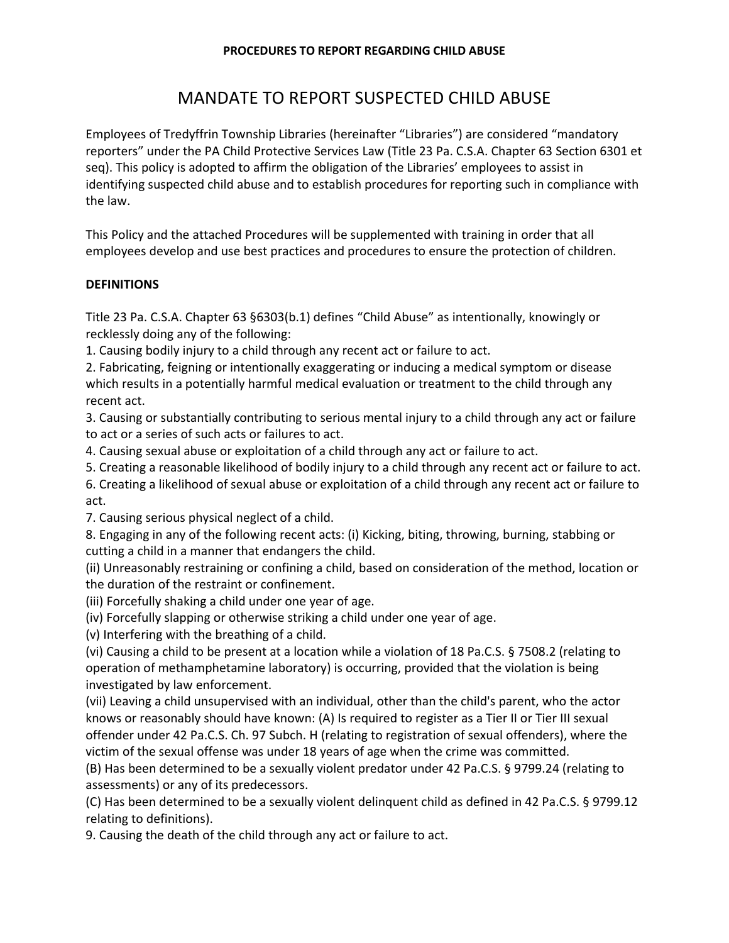## **PROCEDURES TO REPORT REGARDING CHILD ABUSE**

# MANDATE TO REPORT SUSPECTED CHILD ABUSE

Employees of Tredyffrin Township Libraries (hereinafter "Libraries") are considered "mandatory reporters" under the PA Child Protective Services Law (Title 23 Pa. C.S.A. Chapter 63 Section 6301 et seq). This policy is adopted to affirm the obligation of the Libraries' employees to assist in identifying suspected child abuse and to establish procedures for reporting such in compliance with the law.

This Policy and the attached Procedures will be supplemented with training in order that all employees develop and use best practices and procedures to ensure the protection of children.

# **DEFINITIONS**

Title 23 Pa. C.S.A. Chapter 63 §6303(b.1) defines "Child Abuse" as intentionally, knowingly or recklessly doing any of the following:

1. Causing bodily injury to a child through any recent act or failure to act.

2. Fabricating, feigning or intentionally exaggerating or inducing a medical symptom or disease which results in a potentially harmful medical evaluation or treatment to the child through any recent act.

3. Causing or substantially contributing to serious mental injury to a child through any act or failure to act or a series of such acts or failures to act.

4. Causing sexual abuse or exploitation of a child through any act or failure to act.

5. Creating a reasonable likelihood of bodily injury to a child through any recent act or failure to act.

6. Creating a likelihood of sexual abuse or exploitation of a child through any recent act or failure to act.

7. Causing serious physical neglect of a child.

8. Engaging in any of the following recent acts: (i) Kicking, biting, throwing, burning, stabbing or cutting a child in a manner that endangers the child.

(ii) Unreasonably restraining or confining a child, based on consideration of the method, location or the duration of the restraint or confinement.

(iii) Forcefully shaking a child under one year of age.

(iv) Forcefully slapping or otherwise striking a child under one year of age.

(v) Interfering with the breathing of a child.

(vi) Causing a child to be present at a location while a violation of 18 Pa.C.S. § 7508.2 (relating to operation of methamphetamine laboratory) is occurring, provided that the violation is being investigated by law enforcement.

(vii) Leaving a child unsupervised with an individual, other than the child's parent, who the actor knows or reasonably should have known: (A) Is required to register as a Tier II or Tier III sexual offender under 42 Pa.C.S. Ch. 97 Subch. H (relating to registration of sexual offenders), where the victim of the sexual offense was under 18 years of age when the crime was committed.

(B) Has been determined to be a sexually violent predator under 42 Pa.C.S. § 9799.24 (relating to assessments) or any of its predecessors.

(C) Has been determined to be a sexually violent delinquent child as defined in 42 Pa.C.S. § 9799.12 relating to definitions).

9. Causing the death of the child through any act or failure to act.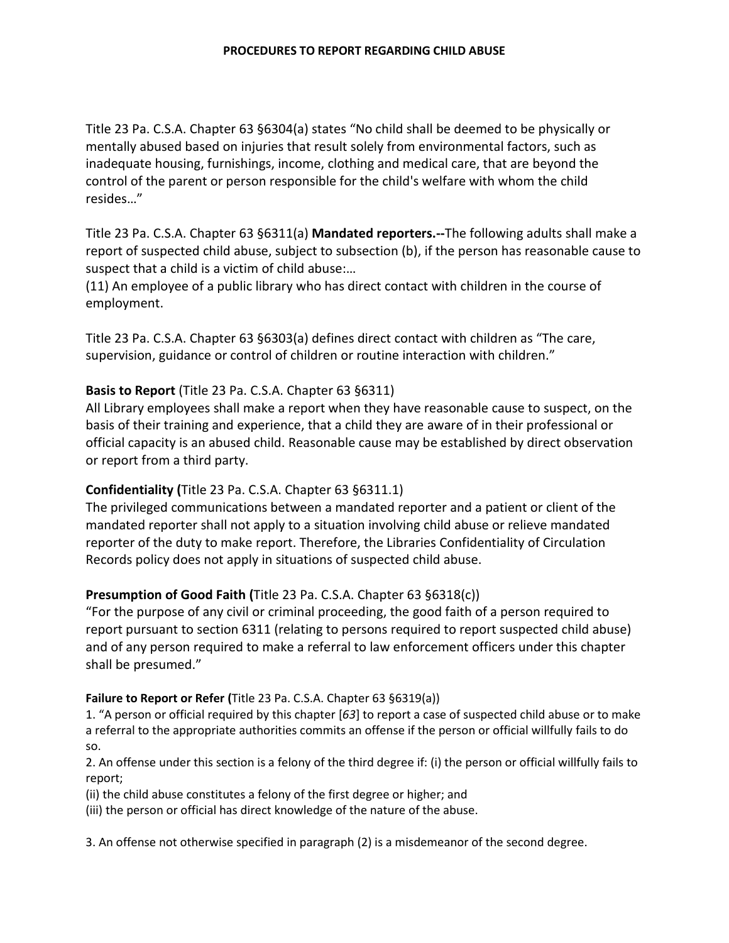Title 23 Pa. C.S.A. Chapter 63 §6304(a) states "No child shall be deemed to be physically or mentally abused based on injuries that result solely from environmental factors, such as inadequate housing, furnishings, income, clothing and medical care, that are beyond the control of the parent or person responsible for the child's welfare with whom the child resides…"

Title 23 Pa. C.S.A. Chapter 63 §6311(a) **Mandated reporters.--**The following adults shall make a report of suspected child abuse, subject to subsection (b), if the person has reasonable cause to suspect that a child is a victim of child abuse:…

(11) An employee of a public library who has direct contact with children in the course of employment.

Title 23 Pa. C.S.A. Chapter 63 §6303(a) defines direct contact with children as "The care, supervision, guidance or control of children or routine interaction with children."

# **Basis to Report** (Title 23 Pa. C.S.A. Chapter 63 §6311)

All Library employees shall make a report when they have reasonable cause to suspect, on the basis of their training and experience, that a child they are aware of in their professional or official capacity is an abused child. Reasonable cause may be established by direct observation or report from a third party.

# **Confidentiality (**Title 23 Pa. C.S.A. Chapter 63 §6311.1)

The privileged communications between a mandated reporter and a patient or client of the mandated reporter shall not apply to a situation involving child abuse or relieve mandated reporter of the duty to make report. Therefore, the Libraries Confidentiality of Circulation Records policy does not apply in situations of suspected child abuse.

# **Presumption of Good Faith (**Title 23 Pa. C.S.A. Chapter 63 §6318(c))

"For the purpose of any civil or criminal proceeding, the good faith of a person required to report pursuant to section 6311 (relating to persons required to report suspected child abuse) and of any person required to make a referral to law enforcement officers under this chapter shall be presumed."

## **Failure to Report or Refer (**Title 23 Pa. C.S.A. Chapter 63 §6319(a))

1. "A person or official required by this chapter [*63*] to report a case of suspected child abuse or to make a referral to the appropriate authorities commits an offense if the person or official willfully fails to do so.

2. An offense under this section is a felony of the third degree if: (i) the person or official willfully fails to report;

(ii) the child abuse constitutes a felony of the first degree or higher; and

(iii) the person or official has direct knowledge of the nature of the abuse.

3. An offense not otherwise specified in paragraph (2) is a misdemeanor of the second degree.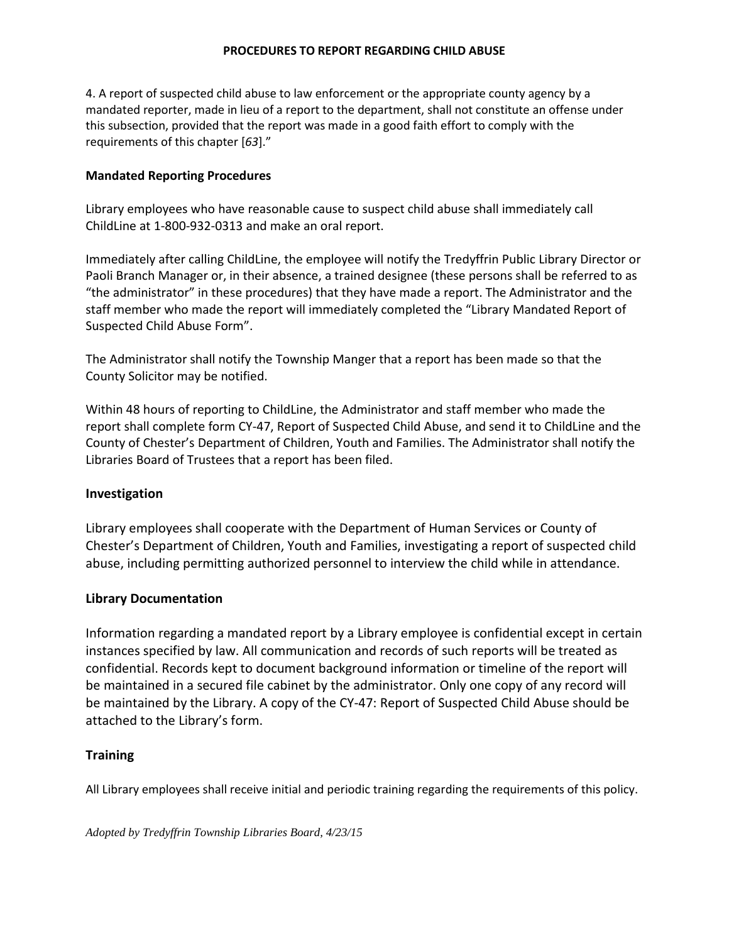#### **PROCEDURES TO REPORT REGARDING CHILD ABUSE**

4. A report of suspected child abuse to law enforcement or the appropriate county agency by a mandated reporter, made in lieu of a report to the department, shall not constitute an offense under this subsection, provided that the report was made in a good faith effort to comply with the requirements of this chapter [*63*]."

## **Mandated Reporting Procedures**

Library employees who have reasonable cause to suspect child abuse shall immediately call ChildLine at 1-800-932-0313 and make an oral report.

Immediately after calling ChildLine, the employee will notify the Tredyffrin Public Library Director or Paoli Branch Manager or, in their absence, a trained designee (these persons shall be referred to as "the administrator" in these procedures) that they have made a report. The Administrator and the staff member who made the report will immediately completed the "Library Mandated Report of Suspected Child Abuse Form".

The Administrator shall notify the Township Manger that a report has been made so that the County Solicitor may be notified.

Within 48 hours of reporting to ChildLine, the Administrator and staff member who made the report shall complete form CY-47, Report of Suspected Child Abuse, and send it to ChildLine and the County of Chester's Department of Children, Youth and Families. The Administrator shall notify the Libraries Board of Trustees that a report has been filed.

## **Investigation**

Library employees shall cooperate with the Department of Human Services or County of Chester's Department of Children, Youth and Families, investigating a report of suspected child abuse, including permitting authorized personnel to interview the child while in attendance.

#### **Library Documentation**

Information regarding a mandated report by a Library employee is confidential except in certain instances specified by law. All communication and records of such reports will be treated as confidential. Records kept to document background information or timeline of the report will be maintained in a secured file cabinet by the administrator. Only one copy of any record will be maintained by the Library. A copy of the CY-47: Report of Suspected Child Abuse should be attached to the Library's form.

## **Training**

All Library employees shall receive initial and periodic training regarding the requirements of this policy.

*Adopted by Tredyffrin Township Libraries Board, 4/23/15*